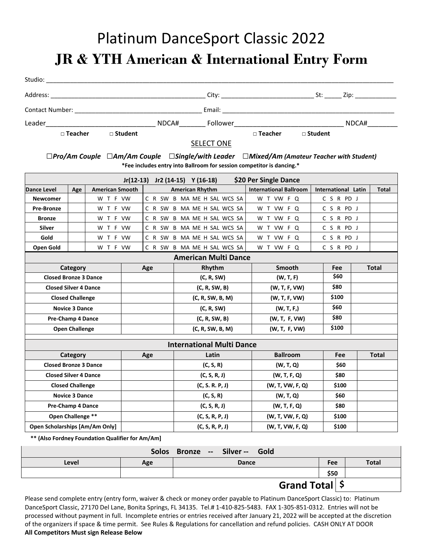## Platinum DanceSport Classic 2022

**JR & YTH American & International Entry Form** 

| Studio:                                                                                                                                                                                                                        |       |                |                |       |
|--------------------------------------------------------------------------------------------------------------------------------------------------------------------------------------------------------------------------------|-------|----------------|----------------|-------|
| Address:                                                                                                                                                                                                                       |       | City:          | St:            | Zip:  |
| Contact Number: The Contact Outside Services of the Contact Outside Services of the Contact Outside Services of the Contact Outside Services of the Contact Outside Services of the Contact Outside Services of the Contact Ou |       | Email:         |                |       |
| Leader                                                                                                                                                                                                                         | NDCA# | Follower       |                | NDCA# |
| $\Box$ Teacher<br>□ Student                                                                                                                                                                                                    |       | $\Box$ Teacher | $\Box$ Student |       |

## SELECT ONE

*□Pro/Am Couple □Am/Am Couple □Single/with Leader □Mixed/Am (Amateur Teacher with Student)* **\*Fee includes entry into Ballroom for session competitor is dancing.\*** 

| \$20 Per Single Dance<br>$Jr(12-13)$ Jr2 (14-15) Y (16-18) |                              |                        |  |                  |                  |                                  |                               |                     |            |  |              |
|------------------------------------------------------------|------------------------------|------------------------|--|------------------|------------------|----------------------------------|-------------------------------|---------------------|------------|--|--------------|
| Dance Level                                                | Age                          | <b>American Smooth</b> |  |                  |                  | <b>American Rhythm</b>           | <b>International Ballroom</b> | International Latin |            |  | <b>Total</b> |
| <b>Newcomer</b>                                            |                              | W T F VW               |  |                  |                  | C R SW B MA ME H SAL WCS SA      | W T VW F Q                    | CSRPDJ              |            |  |              |
| <b>Pre-Bronze</b>                                          |                              | W T F VW               |  |                  |                  | C R SW B MA ME H SAL WCS SA      | W T VW F Q                    |                     | C S R PD J |  |              |
| <b>Bronze</b>                                              |                              | W T F VW               |  |                  |                  | C R SW B MA ME H SAL WCS SA      | W T VW F Q                    | C S R PD J          |            |  |              |
| <b>Silver</b>                                              |                              | W T F VW               |  |                  |                  | C R SW B MA ME H SAL WCS SA      | W T VW F Q                    | C S R PD J          |            |  |              |
| Gold                                                       |                              | W T F VW               |  |                  |                  | C R SW B MA ME H SAL WCS SA      | W T VW F Q                    | CSRPDJ              |            |  |              |
| Open Gold                                                  |                              | W T F VW               |  |                  |                  | C R SW B MA ME H SAL WCS SA      | W T VW F Q                    | CSRPDJ              |            |  |              |
| <b>American Multi Dance</b>                                |                              |                        |  |                  |                  |                                  |                               |                     |            |  |              |
|                                                            | Category                     |                        |  | Age              |                  | Rhythm                           | Smooth                        |                     | Fee        |  | <b>Total</b> |
| <b>Closed Bronze 3 Dance</b>                               |                              |                        |  |                  |                  | (C, R, SW)                       | (W, T, F)                     |                     | \$60       |  |              |
|                                                            | <b>Closed Silver 4 Dance</b> |                        |  | (C, R, SW, B)    | (W, T, F, VW)    |                                  |                               |                     |            |  |              |
|                                                            | <b>Closed Challenge</b>      |                        |  | (C, R, SW, B, M) | (W, T, F, VW)    |                                  | \$100                         |                     |            |  |              |
|                                                            | <b>Novice 3 Dance</b>        |                        |  | (C, R, SW)       | (W, T, F)        |                                  | \$60                          |                     |            |  |              |
|                                                            | <b>Pre-Champ 4 Dance</b>     |                        |  | (C, R, SW, B)    | (W, T, F, VW)    |                                  | \$80                          |                     |            |  |              |
|                                                            | <b>Open Challenge</b>        |                        |  | (C, R, SW, B, M) | (W, T, F, VW)    |                                  | \$100                         |                     |            |  |              |
|                                                            |                              |                        |  |                  |                  | <b>International Multi Dance</b> |                               |                     |            |  |              |
|                                                            | Category                     |                        |  | Age              |                  | Latin                            | <b>Ballroom</b>               |                     | <b>Fee</b> |  | <b>Total</b> |
| <b>Closed Bronze 3 Dance</b>                               |                              |                        |  |                  |                  | (C, S, R)                        | (W, T, Q)                     |                     | \$60       |  |              |
|                                                            | <b>Closed Silver 4 Dance</b> |                        |  | (C, S, R, J)     | (W, T, F, Q)     | \$80                             |                               |                     |            |  |              |
|                                                            | <b>Closed Challenge</b>      |                        |  | (C, S, R, P, J)  | (W, T, VW, F, Q) | \$100                            |                               |                     |            |  |              |
|                                                            | <b>Novice 3 Dance</b>        |                        |  | (C, S, R)        | (W, T, Q)        |                                  | \$60                          |                     |            |  |              |
| <b>Pre-Champ 4 Dance</b>                                   |                              |                        |  |                  |                  | (C, S, R, J)                     | (W, T, F, Q)                  |                     | \$80       |  |              |
| Open Challenge **                                          |                              |                        |  |                  |                  | (C, S, R, P, J)                  | (W, T, VW, F, Q)              |                     | \$100      |  |              |
| <b>Open Scholarships [Am/Am Only]</b>                      |                              |                        |  |                  |                  | (C, S, R, P, J)                  | (W, T, VW, F, Q)              |                     | \$100      |  |              |

 **\*\* (Also Fordney Foundation Qualifier for Am/Am]**

| Solos Bronze -- Silver -- Gold |     |              |            |              |  |  |  |
|--------------------------------|-----|--------------|------------|--------------|--|--|--|
| Level                          | Age | <b>Dance</b> | <b>Fee</b> | <b>Total</b> |  |  |  |
|                                |     |              | \$50       |              |  |  |  |
| Grand Total \$                 |     |              |            |              |  |  |  |

Please send complete entry (entry form, waiver & check or money order payable to Platinum DanceSport Classic) to: Platinum DanceSport Classic, 27170 Del Lane, Bonita Springs, FL 34135. Tel.# 1‐410‐825‐5483. FAX 1‐305‐851‐0312. Entries will not be processed without payment in full. Incomplete entries or entries received after January 21, 2022 will be accepted at the discretion of the organizers if space & time permit. See Rules & Regulations for cancellation and refund policies. CASH ONLY AT DOOR **All Competitors Must sign Release Below**